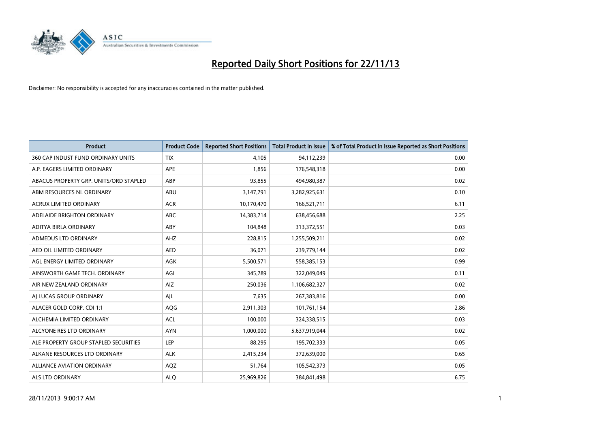

| <b>Product</b>                         | <b>Product Code</b> | <b>Reported Short Positions</b> | <b>Total Product in Issue</b> | % of Total Product in Issue Reported as Short Positions |
|----------------------------------------|---------------------|---------------------------------|-------------------------------|---------------------------------------------------------|
| 360 CAP INDUST FUND ORDINARY UNITS     | <b>TIX</b>          | 4,105                           | 94,112,239                    | 0.00                                                    |
| A.P. EAGERS LIMITED ORDINARY           | APE                 | 1,856                           | 176,548,318                   | 0.00                                                    |
| ABACUS PROPERTY GRP. UNITS/ORD STAPLED | ABP                 | 93,855                          | 494,980,387                   | 0.02                                                    |
| ABM RESOURCES NL ORDINARY              | ABU                 | 3,147,791                       | 3,282,925,631                 | 0.10                                                    |
| <b>ACRUX LIMITED ORDINARY</b>          | <b>ACR</b>          | 10,170,470                      | 166,521,711                   | 6.11                                                    |
| ADELAIDE BRIGHTON ORDINARY             | <b>ABC</b>          | 14,383,714                      | 638,456,688                   | 2.25                                                    |
| ADITYA BIRLA ORDINARY                  | ABY                 | 104,848                         | 313,372,551                   | 0.03                                                    |
| ADMEDUS LTD ORDINARY                   | AHZ                 | 228,815                         | 1,255,509,211                 | 0.02                                                    |
| AED OIL LIMITED ORDINARY               | <b>AED</b>          | 36,071                          | 239,779,144                   | 0.02                                                    |
| AGL ENERGY LIMITED ORDINARY            | AGK                 | 5,500,571                       | 558,385,153                   | 0.99                                                    |
| AINSWORTH GAME TECH. ORDINARY          | AGI                 | 345,789                         | 322,049,049                   | 0.11                                                    |
| AIR NEW ZEALAND ORDINARY               | AIZ.                | 250,036                         | 1,106,682,327                 | 0.02                                                    |
| AI LUCAS GROUP ORDINARY                | AJL                 | 7,635                           | 267,383,816                   | 0.00                                                    |
| ALACER GOLD CORP. CDI 1:1              | AQG                 | 2,911,303                       | 101,761,154                   | 2.86                                                    |
| ALCHEMIA LIMITED ORDINARY              | <b>ACL</b>          | 100,000                         | 324,338,515                   | 0.03                                                    |
| ALCYONE RES LTD ORDINARY               | <b>AYN</b>          | 1,000,000                       | 5,637,919,044                 | 0.02                                                    |
| ALE PROPERTY GROUP STAPLED SECURITIES  | LEP                 | 88,295                          | 195,702,333                   | 0.05                                                    |
| ALKANE RESOURCES LTD ORDINARY          | <b>ALK</b>          | 2,415,234                       | 372,639,000                   | 0.65                                                    |
| ALLIANCE AVIATION ORDINARY             | AQZ                 | 51,764                          | 105,542,373                   | 0.05                                                    |
| ALS LTD ORDINARY                       | <b>ALQ</b>          | 25,969,826                      | 384, 841, 498                 | 6.75                                                    |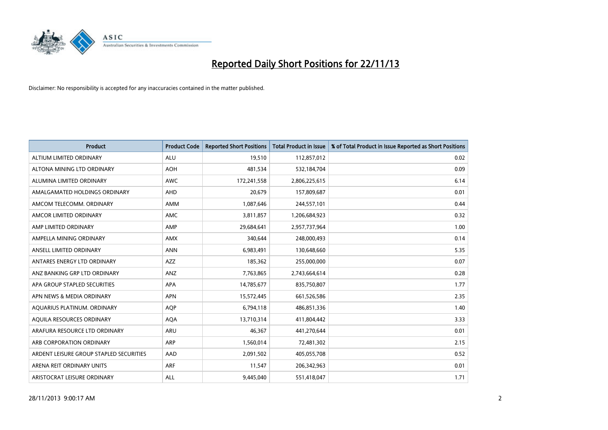

| <b>Product</b>                          | <b>Product Code</b> | <b>Reported Short Positions</b> | <b>Total Product in Issue</b> | % of Total Product in Issue Reported as Short Positions |
|-----------------------------------------|---------------------|---------------------------------|-------------------------------|---------------------------------------------------------|
| ALTIUM LIMITED ORDINARY                 | <b>ALU</b>          | 19,510                          | 112,857,012                   | 0.02                                                    |
| ALTONA MINING LTD ORDINARY              | <b>AOH</b>          | 481,534                         | 532,184,704                   | 0.09                                                    |
| ALUMINA LIMITED ORDINARY                | <b>AWC</b>          | 172,241,558                     | 2,806,225,615                 | 6.14                                                    |
| AMALGAMATED HOLDINGS ORDINARY           | AHD                 | 20,679                          | 157,809,687                   | 0.01                                                    |
| AMCOM TELECOMM, ORDINARY                | AMM                 | 1,087,646                       | 244,557,101                   | 0.44                                                    |
| AMCOR LIMITED ORDINARY                  | AMC                 | 3,811,857                       | 1,206,684,923                 | 0.32                                                    |
| AMP LIMITED ORDINARY                    | AMP                 | 29,684,641                      | 2,957,737,964                 | 1.00                                                    |
| AMPELLA MINING ORDINARY                 | <b>AMX</b>          | 340,644                         | 248,000,493                   | 0.14                                                    |
| ANSELL LIMITED ORDINARY                 | <b>ANN</b>          | 6,983,491                       | 130,648,660                   | 5.35                                                    |
| ANTARES ENERGY LTD ORDINARY             | <b>AZZ</b>          | 185,362                         | 255,000,000                   | 0.07                                                    |
| ANZ BANKING GRP LTD ORDINARY            | ANZ                 | 7,763,865                       | 2,743,664,614                 | 0.28                                                    |
| APA GROUP STAPLED SECURITIES            | APA                 | 14,785,677                      | 835,750,807                   | 1.77                                                    |
| APN NEWS & MEDIA ORDINARY               | <b>APN</b>          | 15,572,445                      | 661,526,586                   | 2.35                                                    |
| AQUARIUS PLATINUM. ORDINARY             | <b>AOP</b>          | 6,794,118                       | 486,851,336                   | 1.40                                                    |
| AQUILA RESOURCES ORDINARY               | <b>AQA</b>          | 13,710,314                      | 411,804,442                   | 3.33                                                    |
| ARAFURA RESOURCE LTD ORDINARY           | ARU                 | 46,367                          | 441,270,644                   | 0.01                                                    |
| ARB CORPORATION ORDINARY                | ARP                 | 1,560,014                       | 72,481,302                    | 2.15                                                    |
| ARDENT LEISURE GROUP STAPLED SECURITIES | AAD                 | 2,091,502                       | 405,055,708                   | 0.52                                                    |
| ARENA REIT ORDINARY UNITS               | <b>ARF</b>          | 11,547                          | 206,342,963                   | 0.01                                                    |
| ARISTOCRAT LEISURE ORDINARY             | ALL                 | 9,445,040                       | 551,418,047                   | 1.71                                                    |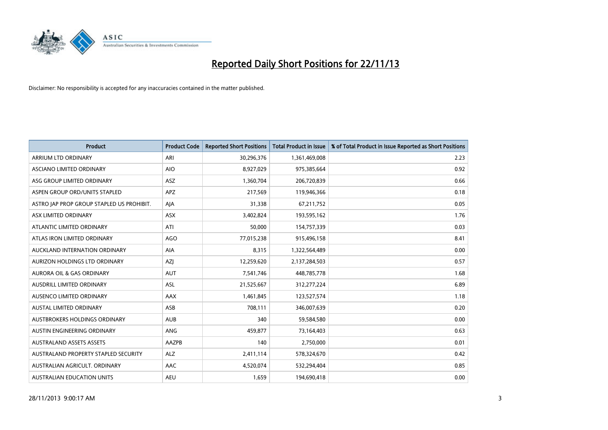

| <b>Product</b>                            | <b>Product Code</b> | <b>Reported Short Positions</b> | <b>Total Product in Issue</b> | % of Total Product in Issue Reported as Short Positions |
|-------------------------------------------|---------------------|---------------------------------|-------------------------------|---------------------------------------------------------|
| ARRIUM LTD ORDINARY                       | ARI                 | 30,296,376                      | 1,361,469,008                 | 2.23                                                    |
| ASCIANO LIMITED ORDINARY                  | <b>AIO</b>          | 8,927,029                       | 975,385,664                   | 0.92                                                    |
| ASG GROUP LIMITED ORDINARY                | <b>ASZ</b>          | 1,360,704                       | 206,720,839                   | 0.66                                                    |
| ASPEN GROUP ORD/UNITS STAPLED             | APZ                 | 217,569                         | 119,946,366                   | 0.18                                                    |
| ASTRO JAP PROP GROUP STAPLED US PROHIBIT. | AJA                 | 31,338                          | 67,211,752                    | 0.05                                                    |
| ASX LIMITED ORDINARY                      | ASX                 | 3,402,824                       | 193,595,162                   | 1.76                                                    |
| ATLANTIC LIMITED ORDINARY                 | ATI                 | 50,000                          | 154,757,339                   | 0.03                                                    |
| ATLAS IRON LIMITED ORDINARY               | <b>AGO</b>          | 77,015,238                      | 915,496,158                   | 8.41                                                    |
| AUCKLAND INTERNATION ORDINARY             | AIA                 | 8,315                           | 1,322,564,489                 | 0.00                                                    |
| AURIZON HOLDINGS LTD ORDINARY             | AZI                 | 12,259,620                      | 2,137,284,503                 | 0.57                                                    |
| AURORA OIL & GAS ORDINARY                 | AUT                 | 7,541,746                       | 448,785,778                   | 1.68                                                    |
| <b>AUSDRILL LIMITED ORDINARY</b>          | ASL                 | 21,525,667                      | 312,277,224                   | 6.89                                                    |
| AUSENCO LIMITED ORDINARY                  | AAX                 | 1,461,845                       | 123,527,574                   | 1.18                                                    |
| <b>AUSTAL LIMITED ORDINARY</b>            | ASB                 | 708,111                         | 346,007,639                   | 0.20                                                    |
| <b>AUSTBROKERS HOLDINGS ORDINARY</b>      | <b>AUB</b>          | 340                             | 59,584,580                    | 0.00                                                    |
| AUSTIN ENGINEERING ORDINARY               | ANG                 | 459,877                         | 73,164,403                    | 0.63                                                    |
| AUSTRALAND ASSETS ASSETS                  | AAZPB               | 140                             | 2,750,000                     | 0.01                                                    |
| AUSTRALAND PROPERTY STAPLED SECURITY      | ALZ                 | 2,411,114                       | 578,324,670                   | 0.42                                                    |
| AUSTRALIAN AGRICULT, ORDINARY             | AAC                 | 4,520,074                       | 532,294,404                   | 0.85                                                    |
| AUSTRALIAN EDUCATION UNITS                | <b>AEU</b>          | 1,659                           | 194,690,418                   | 0.00                                                    |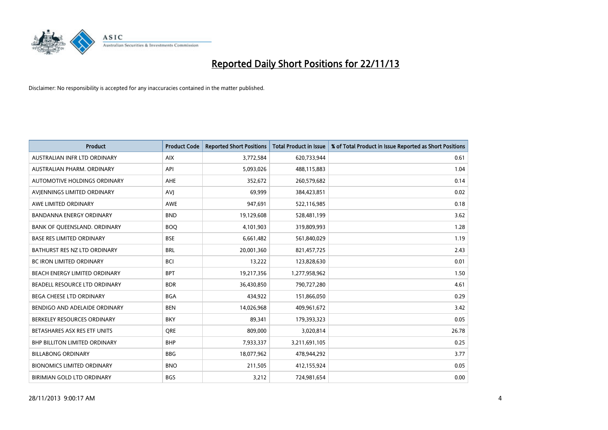

| <b>Product</b>                      | <b>Product Code</b> | <b>Reported Short Positions</b> | <b>Total Product in Issue</b> | % of Total Product in Issue Reported as Short Positions |
|-------------------------------------|---------------------|---------------------------------|-------------------------------|---------------------------------------------------------|
| AUSTRALIAN INFR LTD ORDINARY        | <b>AIX</b>          | 3,772,584                       | 620,733,944                   | 0.61                                                    |
| AUSTRALIAN PHARM. ORDINARY          | API                 | 5,093,026                       | 488,115,883                   | 1.04                                                    |
| <b>AUTOMOTIVE HOLDINGS ORDINARY</b> | <b>AHE</b>          | 352,672                         | 260,579,682                   | 0.14                                                    |
| AVJENNINGS LIMITED ORDINARY         | AVJ                 | 69,999                          | 384,423,851                   | 0.02                                                    |
| AWE LIMITED ORDINARY                | <b>AWE</b>          | 947,691                         | 522,116,985                   | 0.18                                                    |
| <b>BANDANNA ENERGY ORDINARY</b>     | <b>BND</b>          | 19,129,608                      | 528,481,199                   | 3.62                                                    |
| BANK OF QUEENSLAND. ORDINARY        | <b>BOO</b>          | 4,101,903                       | 319,809,993                   | 1.28                                                    |
| <b>BASE RES LIMITED ORDINARY</b>    | <b>BSE</b>          | 6,661,482                       | 561,840,029                   | 1.19                                                    |
| BATHURST RES NZ LTD ORDINARY        | <b>BRL</b>          | 20,001,360                      | 821,457,725                   | 2.43                                                    |
| <b>BC IRON LIMITED ORDINARY</b>     | <b>BCI</b>          | 13,222                          | 123,828,630                   | 0.01                                                    |
| BEACH ENERGY LIMITED ORDINARY       | <b>BPT</b>          | 19,217,356                      | 1,277,958,962                 | 1.50                                                    |
| BEADELL RESOURCE LTD ORDINARY       | <b>BDR</b>          | 36,430,850                      | 790,727,280                   | 4.61                                                    |
| <b>BEGA CHEESE LTD ORDINARY</b>     | <b>BGA</b>          | 434,922                         | 151,866,050                   | 0.29                                                    |
| BENDIGO AND ADELAIDE ORDINARY       | <b>BEN</b>          | 14,026,968                      | 409,961,672                   | 3.42                                                    |
| BERKELEY RESOURCES ORDINARY         | <b>BKY</b>          | 89,341                          | 179,393,323                   | 0.05                                                    |
| BETASHARES ASX RES ETF UNITS        | <b>ORE</b>          | 809,000                         | 3,020,814                     | 26.78                                                   |
| BHP BILLITON LIMITED ORDINARY       | <b>BHP</b>          | 7,933,337                       | 3,211,691,105                 | 0.25                                                    |
| <b>BILLABONG ORDINARY</b>           | <b>BBG</b>          | 18,077,962                      | 478,944,292                   | 3.77                                                    |
| <b>BIONOMICS LIMITED ORDINARY</b>   | <b>BNO</b>          | 211,505                         | 412,155,924                   | 0.05                                                    |
| BIRIMIAN GOLD LTD ORDINARY          | <b>BGS</b>          | 3,212                           | 724,981,654                   | 0.00                                                    |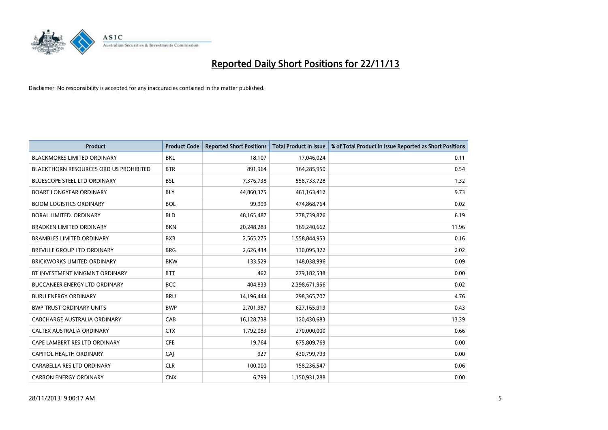

| <b>Product</b>                         | <b>Product Code</b> | <b>Reported Short Positions</b> | <b>Total Product in Issue</b> | % of Total Product in Issue Reported as Short Positions |
|----------------------------------------|---------------------|---------------------------------|-------------------------------|---------------------------------------------------------|
| <b>BLACKMORES LIMITED ORDINARY</b>     | <b>BKL</b>          | 18,107                          | 17,046,024                    | 0.11                                                    |
| BLACKTHORN RESOURCES ORD US PROHIBITED | <b>BTR</b>          | 891,964                         | 164,285,950                   | 0.54                                                    |
| <b>BLUESCOPE STEEL LTD ORDINARY</b>    | <b>BSL</b>          | 7,376,738                       | 558,733,728                   | 1.32                                                    |
| <b>BOART LONGYEAR ORDINARY</b>         | <b>BLY</b>          | 44,860,375                      | 461,163,412                   | 9.73                                                    |
| <b>BOOM LOGISTICS ORDINARY</b>         | <b>BOL</b>          | 99,999                          | 474,868,764                   | 0.02                                                    |
| BORAL LIMITED, ORDINARY                | <b>BLD</b>          | 48, 165, 487                    | 778,739,826                   | 6.19                                                    |
| <b>BRADKEN LIMITED ORDINARY</b>        | <b>BKN</b>          | 20,248,283                      | 169,240,662                   | 11.96                                                   |
| <b>BRAMBLES LIMITED ORDINARY</b>       | <b>BXB</b>          | 2,565,275                       | 1,558,844,953                 | 0.16                                                    |
| <b>BREVILLE GROUP LTD ORDINARY</b>     | <b>BRG</b>          | 2,626,434                       | 130,095,322                   | 2.02                                                    |
| <b>BRICKWORKS LIMITED ORDINARY</b>     | <b>BKW</b>          | 133,529                         | 148,038,996                   | 0.09                                                    |
| BT INVESTMENT MNGMNT ORDINARY          | <b>BTT</b>          | 462                             | 279,182,538                   | 0.00                                                    |
| <b>BUCCANEER ENERGY LTD ORDINARY</b>   | <b>BCC</b>          | 404,833                         | 2,398,671,956                 | 0.02                                                    |
| <b>BURU ENERGY ORDINARY</b>            | <b>BRU</b>          | 14,196,444                      | 298,365,707                   | 4.76                                                    |
| <b>BWP TRUST ORDINARY UNITS</b>        | <b>BWP</b>          | 2,701,987                       | 627,165,919                   | 0.43                                                    |
| <b>CABCHARGE AUSTRALIA ORDINARY</b>    | CAB                 | 16,128,738                      | 120,430,683                   | 13.39                                                   |
| CALTEX AUSTRALIA ORDINARY              | <b>CTX</b>          | 1,792,083                       | 270,000,000                   | 0.66                                                    |
| CAPE LAMBERT RES LTD ORDINARY          | <b>CFE</b>          | 19,764                          | 675,809,769                   | 0.00                                                    |
| CAPITOL HEALTH ORDINARY                | CAJ                 | 927                             | 430,799,793                   | 0.00                                                    |
| CARABELLA RES LTD ORDINARY             | <b>CLR</b>          | 100,000                         | 158,236,547                   | 0.06                                                    |
| <b>CARBON ENERGY ORDINARY</b>          | <b>CNX</b>          | 6,799                           | 1,150,931,288                 | 0.00                                                    |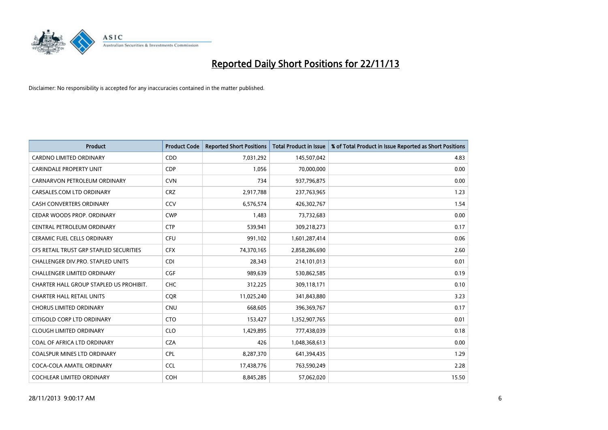

| <b>Product</b>                          | <b>Product Code</b> | <b>Reported Short Positions</b> | <b>Total Product in Issue</b> | % of Total Product in Issue Reported as Short Positions |
|-----------------------------------------|---------------------|---------------------------------|-------------------------------|---------------------------------------------------------|
| <b>CARDNO LIMITED ORDINARY</b>          | CDD                 | 7,031,292                       | 145,507,042                   | 4.83                                                    |
| <b>CARINDALE PROPERTY UNIT</b>          | <b>CDP</b>          | 1,056                           | 70,000,000                    | 0.00                                                    |
| CARNARVON PETROLEUM ORDINARY            | <b>CVN</b>          | 734                             | 937,796,875                   | 0.00                                                    |
| CARSALES.COM LTD ORDINARY               | <b>CRZ</b>          | 2,917,788                       | 237,763,965                   | 1.23                                                    |
| <b>CASH CONVERTERS ORDINARY</b>         | CCV                 | 6,576,574                       | 426,302,767                   | 1.54                                                    |
| CEDAR WOODS PROP. ORDINARY              | <b>CWP</b>          | 1,483                           | 73,732,683                    | 0.00                                                    |
| CENTRAL PETROLEUM ORDINARY              | <b>CTP</b>          | 539,941                         | 309,218,273                   | 0.17                                                    |
| CERAMIC FUEL CELLS ORDINARY             | <b>CFU</b>          | 991,102                         | 1,601,287,414                 | 0.06                                                    |
| CFS RETAIL TRUST GRP STAPLED SECURITIES | <b>CFX</b>          | 74,370,165                      | 2,858,286,690                 | 2.60                                                    |
| CHALLENGER DIV.PRO. STAPLED UNITS       | <b>CDI</b>          | 28,343                          | 214,101,013                   | 0.01                                                    |
| <b>CHALLENGER LIMITED ORDINARY</b>      | <b>CGF</b>          | 989,639                         | 530,862,585                   | 0.19                                                    |
| CHARTER HALL GROUP STAPLED US PROHIBIT. | <b>CHC</b>          | 312,225                         | 309,118,171                   | 0.10                                                    |
| <b>CHARTER HALL RETAIL UNITS</b>        | <b>COR</b>          | 11,025,240                      | 341,843,880                   | 3.23                                                    |
| <b>CHORUS LIMITED ORDINARY</b>          | CNU                 | 668,605                         | 396,369,767                   | 0.17                                                    |
| CITIGOLD CORP LTD ORDINARY              | <b>CTO</b>          | 153,427                         | 1,352,907,765                 | 0.01                                                    |
| <b>CLOUGH LIMITED ORDINARY</b>          | <b>CLO</b>          | 1,429,895                       | 777,438,039                   | 0.18                                                    |
| COAL OF AFRICA LTD ORDINARY             | <b>CZA</b>          | 426                             | 1,048,368,613                 | 0.00                                                    |
| <b>COALSPUR MINES LTD ORDINARY</b>      | <b>CPL</b>          | 8,287,370                       | 641,394,435                   | 1.29                                                    |
| COCA-COLA AMATIL ORDINARY               | <b>CCL</b>          | 17,438,776                      | 763,590,249                   | 2.28                                                    |
| <b>COCHLEAR LIMITED ORDINARY</b>        | <b>COH</b>          | 8,845,285                       | 57,062,020                    | 15.50                                                   |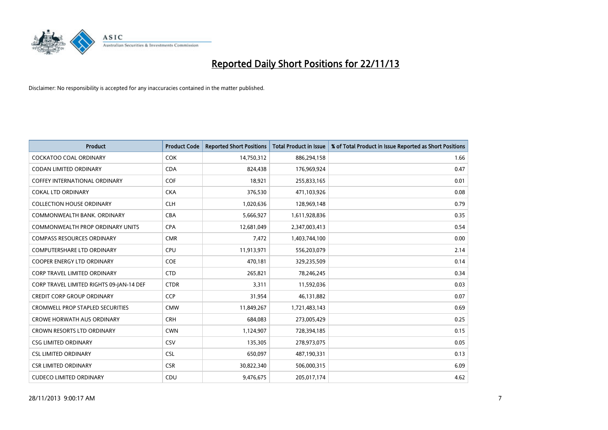

| <b>Product</b>                           | <b>Product Code</b> | <b>Reported Short Positions</b> | <b>Total Product in Issue</b> | % of Total Product in Issue Reported as Short Positions |
|------------------------------------------|---------------------|---------------------------------|-------------------------------|---------------------------------------------------------|
| <b>COCKATOO COAL ORDINARY</b>            | <b>COK</b>          | 14,750,312                      | 886,294,158                   | 1.66                                                    |
| <b>CODAN LIMITED ORDINARY</b>            | <b>CDA</b>          | 824.438                         | 176,969,924                   | 0.47                                                    |
| <b>COFFEY INTERNATIONAL ORDINARY</b>     | <b>COF</b>          | 18,921                          | 255,833,165                   | 0.01                                                    |
| <b>COKAL LTD ORDINARY</b>                | <b>CKA</b>          | 376,530                         | 471,103,926                   | 0.08                                                    |
| <b>COLLECTION HOUSE ORDINARY</b>         | <b>CLH</b>          | 1,020,636                       | 128,969,148                   | 0.79                                                    |
| COMMONWEALTH BANK, ORDINARY              | <b>CBA</b>          | 5,666,927                       | 1,611,928,836                 | 0.35                                                    |
| <b>COMMONWEALTH PROP ORDINARY UNITS</b>  | <b>CPA</b>          | 12,681,049                      | 2,347,003,413                 | 0.54                                                    |
| <b>COMPASS RESOURCES ORDINARY</b>        | <b>CMR</b>          | 7,472                           | 1,403,744,100                 | 0.00                                                    |
| COMPUTERSHARE LTD ORDINARY               | <b>CPU</b>          | 11,913,971                      | 556,203,079                   | 2.14                                                    |
| <b>COOPER ENERGY LTD ORDINARY</b>        | <b>COE</b>          | 470,181                         | 329,235,509                   | 0.14                                                    |
| <b>CORP TRAVEL LIMITED ORDINARY</b>      | <b>CTD</b>          | 265,821                         | 78,246,245                    | 0.34                                                    |
| CORP TRAVEL LIMITED RIGHTS 09-JAN-14 DEF | <b>CTDR</b>         | 3,311                           | 11,592,036                    | 0.03                                                    |
| <b>CREDIT CORP GROUP ORDINARY</b>        | CCP                 | 31,954                          | 46,131,882                    | 0.07                                                    |
| <b>CROMWELL PROP STAPLED SECURITIES</b>  | <b>CMW</b>          | 11,849,267                      | 1,721,483,143                 | 0.69                                                    |
| <b>CROWE HORWATH AUS ORDINARY</b>        | <b>CRH</b>          | 684,083                         | 273,005,429                   | 0.25                                                    |
| <b>CROWN RESORTS LTD ORDINARY</b>        | <b>CWN</b>          | 1,124,907                       | 728,394,185                   | 0.15                                                    |
| <b>CSG LIMITED ORDINARY</b>              | <b>CSV</b>          | 135,305                         | 278,973,075                   | 0.05                                                    |
| <b>CSL LIMITED ORDINARY</b>              | <b>CSL</b>          | 650,097                         | 487,190,331                   | 0.13                                                    |
| <b>CSR LIMITED ORDINARY</b>              | <b>CSR</b>          | 30,822,340                      | 506,000,315                   | 6.09                                                    |
| <b>CUDECO LIMITED ORDINARY</b>           | CDU                 | 9,476,675                       | 205,017,174                   | 4.62                                                    |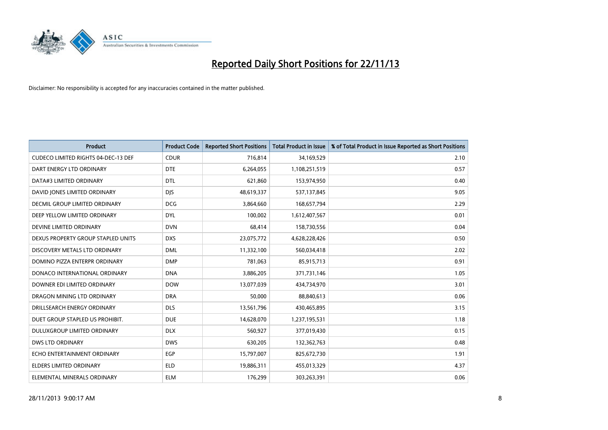

| <b>Product</b>                             | <b>Product Code</b> | <b>Reported Short Positions</b> | <b>Total Product in Issue</b> | % of Total Product in Issue Reported as Short Positions |
|--------------------------------------------|---------------------|---------------------------------|-------------------------------|---------------------------------------------------------|
| <b>CUDECO LIMITED RIGHTS 04-DEC-13 DEF</b> | <b>CDUR</b>         | 716,814                         | 34,169,529                    | 2.10                                                    |
| DART ENERGY LTD ORDINARY                   | <b>DTE</b>          | 6,264,055                       | 1,108,251,519                 | 0.57                                                    |
| DATA#3 LIMITED ORDINARY                    | <b>DTL</b>          | 621,860                         | 153,974,950                   | 0.40                                                    |
| DAVID JONES LIMITED ORDINARY               | <b>DIS</b>          | 48,619,337                      | 537,137,845                   | 9.05                                                    |
| <b>DECMIL GROUP LIMITED ORDINARY</b>       | <b>DCG</b>          | 3,864,660                       | 168,657,794                   | 2.29                                                    |
| DEEP YELLOW LIMITED ORDINARY               | <b>DYL</b>          | 100,002                         | 1,612,407,567                 | 0.01                                                    |
| DEVINE LIMITED ORDINARY                    | <b>DVN</b>          | 68,414                          | 158,730,556                   | 0.04                                                    |
| DEXUS PROPERTY GROUP STAPLED UNITS         | <b>DXS</b>          | 23,075,772                      | 4,628,228,426                 | 0.50                                                    |
| DISCOVERY METALS LTD ORDINARY              | <b>DML</b>          | 11,332,100                      | 560,034,418                   | 2.02                                                    |
| DOMINO PIZZA ENTERPR ORDINARY              | <b>DMP</b>          | 781,063                         | 85,915,713                    | 0.91                                                    |
| DONACO INTERNATIONAL ORDINARY              | <b>DNA</b>          | 3,886,205                       | 371,731,146                   | 1.05                                                    |
| DOWNER EDI LIMITED ORDINARY                | <b>DOW</b>          | 13,077,039                      | 434,734,970                   | 3.01                                                    |
| DRAGON MINING LTD ORDINARY                 | <b>DRA</b>          | 50,000                          | 88,840,613                    | 0.06                                                    |
| DRILLSEARCH ENERGY ORDINARY                | <b>DLS</b>          | 13,561,796                      | 430,465,895                   | 3.15                                                    |
| DUET GROUP STAPLED US PROHIBIT.            | <b>DUE</b>          | 14,628,070                      | 1,237,195,531                 | 1.18                                                    |
| DULUXGROUP LIMITED ORDINARY                | <b>DLX</b>          | 560,927                         | 377,019,430                   | 0.15                                                    |
| <b>DWS LTD ORDINARY</b>                    | <b>DWS</b>          | 630,205                         | 132,362,763                   | 0.48                                                    |
| ECHO ENTERTAINMENT ORDINARY                | <b>EGP</b>          | 15,797,007                      | 825,672,730                   | 1.91                                                    |
| <b>ELDERS LIMITED ORDINARY</b>             | <b>ELD</b>          | 19,886,311                      | 455,013,329                   | 4.37                                                    |
| ELEMENTAL MINERALS ORDINARY                | <b>ELM</b>          | 176,299                         | 303,263,391                   | 0.06                                                    |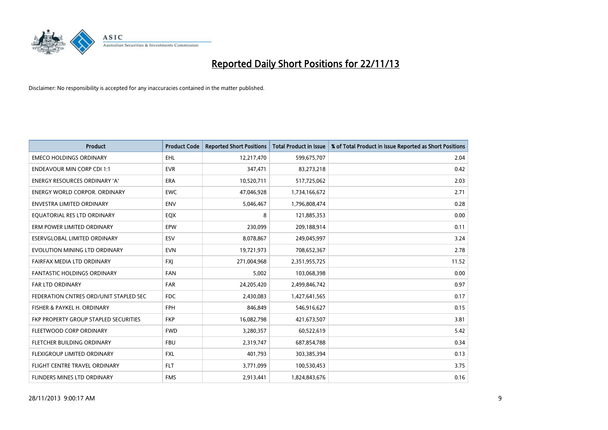

| <b>Product</b>                         | <b>Product Code</b> | <b>Reported Short Positions</b> | <b>Total Product in Issue</b> | % of Total Product in Issue Reported as Short Positions |
|----------------------------------------|---------------------|---------------------------------|-------------------------------|---------------------------------------------------------|
| <b>EMECO HOLDINGS ORDINARY</b>         | <b>EHL</b>          | 12,217,470                      | 599,675,707                   | 2.04                                                    |
| <b>ENDEAVOUR MIN CORP CDI 1:1</b>      | <b>EVR</b>          | 347,471                         | 83,273,218                    | 0.42                                                    |
| <b>ENERGY RESOURCES ORDINARY 'A'</b>   | <b>ERA</b>          | 10,520,711                      | 517,725,062                   | 2.03                                                    |
| ENERGY WORLD CORPOR. ORDINARY          | <b>EWC</b>          | 47,046,928                      | 1,734,166,672                 | 2.71                                                    |
| <b>ENVESTRA LIMITED ORDINARY</b>       | <b>ENV</b>          | 5,046,467                       | 1,796,808,474                 | 0.28                                                    |
| EQUATORIAL RES LTD ORDINARY            | EQX                 | 8                               | 121,885,353                   | 0.00                                                    |
| ERM POWER LIMITED ORDINARY             | <b>EPW</b>          | 230,099                         | 209,188,914                   | 0.11                                                    |
| ESERVGLOBAL LIMITED ORDINARY           | ESV                 | 8,078,867                       | 249,045,997                   | 3.24                                                    |
| EVOLUTION MINING LTD ORDINARY          | <b>EVN</b>          | 19,721,973                      | 708,652,367                   | 2.78                                                    |
| FAIRFAX MEDIA LTD ORDINARY             | <b>FXI</b>          | 271,004,968                     | 2,351,955,725                 | 11.52                                                   |
| FANTASTIC HOLDINGS ORDINARY            | <b>FAN</b>          | 5,002                           | 103,068,398                   | 0.00                                                    |
| <b>FAR LTD ORDINARY</b>                | <b>FAR</b>          | 24,205,420                      | 2,499,846,742                 | 0.97                                                    |
| FEDERATION CNTRES ORD/UNIT STAPLED SEC | <b>FDC</b>          | 2,430,083                       | 1,427,641,565                 | 0.17                                                    |
| FISHER & PAYKEL H. ORDINARY            | <b>FPH</b>          | 846,849                         | 546,916,627                   | 0.15                                                    |
| FKP PROPERTY GROUP STAPLED SECURITIES  | <b>FKP</b>          | 16,082,798                      | 421,673,507                   | 3.81                                                    |
| FLEETWOOD CORP ORDINARY                | <b>FWD</b>          | 3,280,357                       | 60,522,619                    | 5.42                                                    |
| FLETCHER BUILDING ORDINARY             | <b>FBU</b>          | 2,319,747                       | 687,854,788                   | 0.34                                                    |
| FLEXIGROUP LIMITED ORDINARY            | <b>FXL</b>          | 401,793                         | 303,385,394                   | 0.13                                                    |
| FLIGHT CENTRE TRAVEL ORDINARY          | <b>FLT</b>          | 3,771,099                       | 100,530,453                   | 3.75                                                    |
| FLINDERS MINES LTD ORDINARY            | <b>FMS</b>          | 2,913,441                       | 1,824,843,676                 | 0.16                                                    |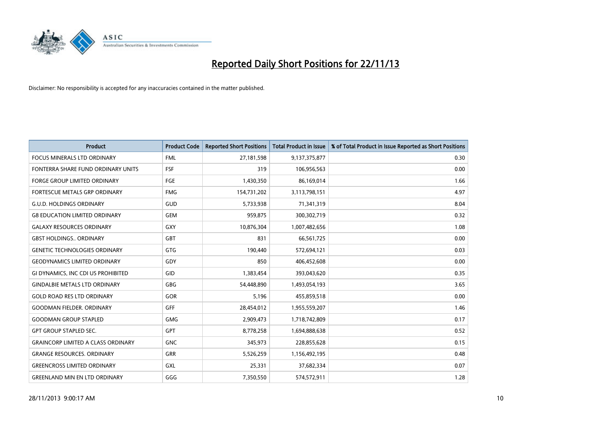

| <b>Product</b>                            | <b>Product Code</b> | <b>Reported Short Positions</b> | <b>Total Product in Issue</b> | % of Total Product in Issue Reported as Short Positions |
|-------------------------------------------|---------------------|---------------------------------|-------------------------------|---------------------------------------------------------|
| <b>FOCUS MINERALS LTD ORDINARY</b>        | <b>FML</b>          | 27,181,598                      | 9,137,375,877                 | 0.30                                                    |
| FONTERRA SHARE FUND ORDINARY UNITS        | <b>FSF</b>          | 319                             | 106,956,563                   | 0.00                                                    |
| <b>FORGE GROUP LIMITED ORDINARY</b>       | FGE                 | 1,430,350                       | 86,169,014                    | 1.66                                                    |
| FORTESCUE METALS GRP ORDINARY             | <b>FMG</b>          | 154,731,202                     | 3,113,798,151                 | 4.97                                                    |
| <b>G.U.D. HOLDINGS ORDINARY</b>           | GUD                 | 5,733,938                       | 71,341,319                    | 8.04                                                    |
| <b>G8 EDUCATION LIMITED ORDINARY</b>      | <b>GEM</b>          | 959,875                         | 300,302,719                   | 0.32                                                    |
| <b>GALAXY RESOURCES ORDINARY</b>          | <b>GXY</b>          | 10,876,304                      | 1,007,482,656                 | 1.08                                                    |
| <b>GBST HOLDINGS ORDINARY</b>             | GBT                 | 831                             | 66,561,725                    | 0.00                                                    |
| <b>GENETIC TECHNOLOGIES ORDINARY</b>      | GTG                 | 190,440                         | 572,694,121                   | 0.03                                                    |
| <b>GEODYNAMICS LIMITED ORDINARY</b>       | GDY                 | 850                             | 406,452,608                   | 0.00                                                    |
| GI DYNAMICS, INC CDI US PROHIBITED        | GID                 | 1,383,454                       | 393,043,620                   | 0.35                                                    |
| <b>GINDALBIE METALS LTD ORDINARY</b>      | <b>GBG</b>          | 54,448,890                      | 1,493,054,193                 | 3.65                                                    |
| <b>GOLD ROAD RES LTD ORDINARY</b>         | GOR                 | 5,196                           | 455,859,518                   | 0.00                                                    |
| <b>GOODMAN FIELDER, ORDINARY</b>          | <b>GFF</b>          | 28,454,012                      | 1,955,559,207                 | 1.46                                                    |
| <b>GOODMAN GROUP STAPLED</b>              | <b>GMG</b>          | 2,909,473                       | 1,718,742,809                 | 0.17                                                    |
| <b>GPT GROUP STAPLED SEC.</b>             | GPT                 | 8,778,258                       | 1,694,888,638                 | 0.52                                                    |
| <b>GRAINCORP LIMITED A CLASS ORDINARY</b> | <b>GNC</b>          | 345,973                         | 228,855,628                   | 0.15                                                    |
| <b>GRANGE RESOURCES, ORDINARY</b>         | GRR                 | 5,526,259                       | 1,156,492,195                 | 0.48                                                    |
| <b>GREENCROSS LIMITED ORDINARY</b>        | GXL                 | 25,331                          | 37,682,334                    | 0.07                                                    |
| <b>GREENLAND MIN EN LTD ORDINARY</b>      | GGG                 | 7,350,550                       | 574,572,911                   | 1.28                                                    |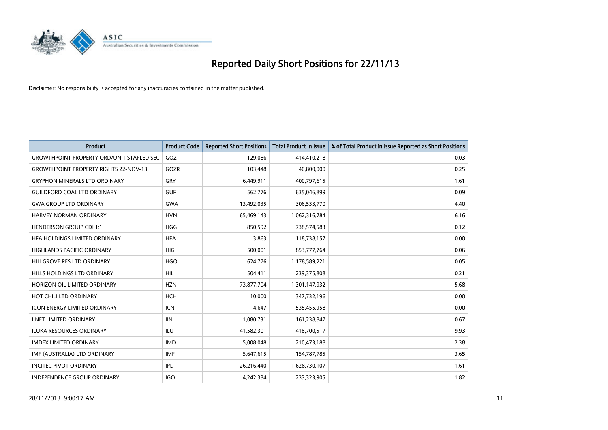

| <b>Product</b>                                   | <b>Product Code</b> | <b>Reported Short Positions</b> | <b>Total Product in Issue</b> | % of Total Product in Issue Reported as Short Positions |
|--------------------------------------------------|---------------------|---------------------------------|-------------------------------|---------------------------------------------------------|
| <b>GROWTHPOINT PROPERTY ORD/UNIT STAPLED SEC</b> | GOZ                 | 129,086                         | 414,410,218                   | 0.03                                                    |
| <b>GROWTHPOINT PROPERTY RIGHTS 22-NOV-13</b>     | GOZR                | 103,448                         | 40,800,000                    | 0.25                                                    |
| <b>GRYPHON MINERALS LTD ORDINARY</b>             | GRY                 | 6,449,911                       | 400,797,615                   | 1.61                                                    |
| <b>GUILDFORD COAL LTD ORDINARY</b>               | <b>GUF</b>          | 562,776                         | 635,046,899                   | 0.09                                                    |
| <b>GWA GROUP LTD ORDINARY</b>                    | <b>GWA</b>          | 13,492,035                      | 306,533,770                   | 4.40                                                    |
| HARVEY NORMAN ORDINARY                           | <b>HVN</b>          | 65,469,143                      | 1,062,316,784                 | 6.16                                                    |
| <b>HENDERSON GROUP CDI 1:1</b>                   | <b>HGG</b>          | 850,592                         | 738,574,583                   | 0.12                                                    |
| <b>HFA HOLDINGS LIMITED ORDINARY</b>             | <b>HFA</b>          | 3,863                           | 118,738,157                   | 0.00                                                    |
| HIGHLANDS PACIFIC ORDINARY                       | HIG                 | 500,001                         | 853,777,764                   | 0.06                                                    |
| HILLGROVE RES LTD ORDINARY                       | <b>HGO</b>          | 624,776                         | 1,178,589,221                 | 0.05                                                    |
| <b>HILLS HOLDINGS LTD ORDINARY</b>               | <b>HIL</b>          | 504,411                         | 239,375,808                   | 0.21                                                    |
| HORIZON OIL LIMITED ORDINARY                     | <b>HZN</b>          | 73,877,704                      | 1,301,147,932                 | 5.68                                                    |
| HOT CHILI LTD ORDINARY                           | <b>HCH</b>          | 10.000                          | 347,732,196                   | 0.00                                                    |
| <b>ICON ENERGY LIMITED ORDINARY</b>              | <b>ICN</b>          | 4,647                           | 535,455,958                   | 0.00                                                    |
| <b>IINET LIMITED ORDINARY</b>                    | <b>IIN</b>          | 1,080,731                       | 161,238,847                   | 0.67                                                    |
| <b>ILUKA RESOURCES ORDINARY</b>                  | <b>ILU</b>          | 41,582,301                      | 418,700,517                   | 9.93                                                    |
| <b>IMDEX LIMITED ORDINARY</b>                    | <b>IMD</b>          | 5,008,048                       | 210,473,188                   | 2.38                                                    |
| IMF (AUSTRALIA) LTD ORDINARY                     | <b>IMF</b>          | 5,647,615                       | 154,787,785                   | 3.65                                                    |
| <b>INCITEC PIVOT ORDINARY</b>                    | IPL                 | 26,216,440                      | 1,628,730,107                 | 1.61                                                    |
| INDEPENDENCE GROUP ORDINARY                      | <b>IGO</b>          | 4,242,384                       | 233,323,905                   | 1.82                                                    |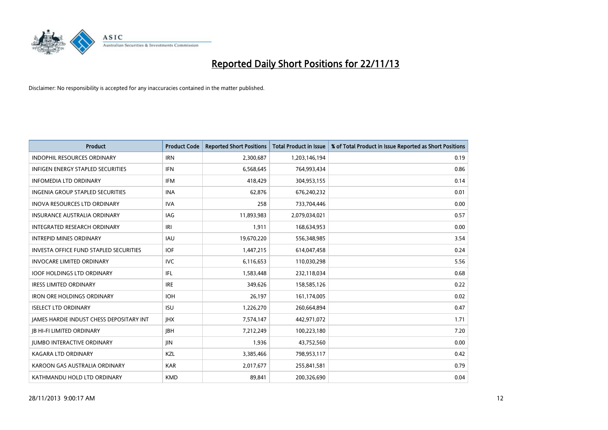

| <b>Product</b>                                | <b>Product Code</b> | <b>Reported Short Positions</b> | <b>Total Product in Issue</b> | % of Total Product in Issue Reported as Short Positions |
|-----------------------------------------------|---------------------|---------------------------------|-------------------------------|---------------------------------------------------------|
| <b>INDOPHIL RESOURCES ORDINARY</b>            | <b>IRN</b>          | 2,300,687                       | 1,203,146,194                 | 0.19                                                    |
| <b>INFIGEN ENERGY STAPLED SECURITIES</b>      | <b>IFN</b>          | 6,568,645                       | 764,993,434                   | 0.86                                                    |
| <b>INFOMEDIA LTD ORDINARY</b>                 | <b>IFM</b>          | 418,429                         | 304,953,155                   | 0.14                                                    |
| INGENIA GROUP STAPLED SECURITIES              | <b>INA</b>          | 62,876                          | 676,240,232                   | 0.01                                                    |
| <b>INOVA RESOURCES LTD ORDINARY</b>           | <b>IVA</b>          | 258                             | 733,704,446                   | 0.00                                                    |
| <b>INSURANCE AUSTRALIA ORDINARY</b>           | IAG                 | 11,893,983                      | 2,079,034,021                 | 0.57                                                    |
| INTEGRATED RESEARCH ORDINARY                  | IRI                 | 1,911                           | 168,634,953                   | 0.00                                                    |
| <b>INTREPID MINES ORDINARY</b>                | <b>IAU</b>          | 19,670,220                      | 556,348,985                   | 3.54                                                    |
| <b>INVESTA OFFICE FUND STAPLED SECURITIES</b> | <b>IOF</b>          | 1,447,215                       | 614,047,458                   | 0.24                                                    |
| <b>INVOCARE LIMITED ORDINARY</b>              | IVC                 | 6,116,653                       | 110,030,298                   | 5.56                                                    |
| <b>IOOF HOLDINGS LTD ORDINARY</b>             | IFL                 | 1,583,448                       | 232,118,034                   | 0.68                                                    |
| <b>IRESS LIMITED ORDINARY</b>                 | <b>IRE</b>          | 349,626                         | 158,585,126                   | 0.22                                                    |
| <b>IRON ORE HOLDINGS ORDINARY</b>             | <b>IOH</b>          | 26,197                          | 161,174,005                   | 0.02                                                    |
| <b>ISELECT LTD ORDINARY</b>                   | <b>ISU</b>          | 1,226,270                       | 260,664,894                   | 0.47                                                    |
| JAMES HARDIE INDUST CHESS DEPOSITARY INT      | <b>IHX</b>          | 7,574,147                       | 442,971,072                   | 1.71                                                    |
| <b>JB HI-FI LIMITED ORDINARY</b>              | <b>JBH</b>          | 7,212,249                       | 100,223,180                   | 7.20                                                    |
| <b>JUMBO INTERACTIVE ORDINARY</b>             | <b>JIN</b>          | 1,936                           | 43,752,560                    | 0.00                                                    |
| <b>KAGARA LTD ORDINARY</b>                    | KZL                 | 3,385,466                       | 798,953,117                   | 0.42                                                    |
| KAROON GAS AUSTRALIA ORDINARY                 | <b>KAR</b>          | 2,017,677                       | 255,841,581                   | 0.79                                                    |
| KATHMANDU HOLD LTD ORDINARY                   | <b>KMD</b>          | 89,841                          | 200,326,690                   | 0.04                                                    |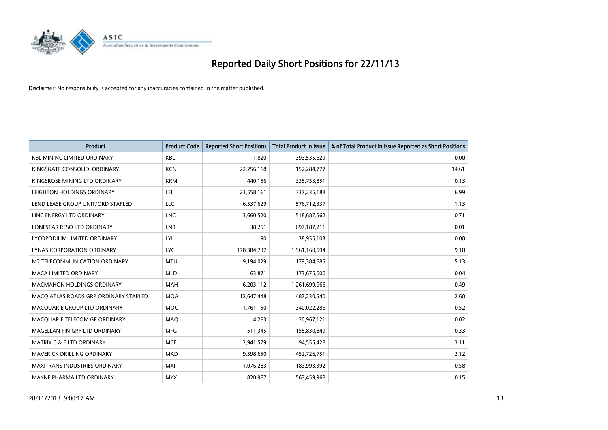

| <b>Product</b>                        | <b>Product Code</b> | <b>Reported Short Positions</b> | <b>Total Product in Issue</b> | % of Total Product in Issue Reported as Short Positions |
|---------------------------------------|---------------------|---------------------------------|-------------------------------|---------------------------------------------------------|
| <b>KBL MINING LIMITED ORDINARY</b>    | <b>KBL</b>          | 1,820                           | 393,535,629                   | 0.00                                                    |
| KINGSGATE CONSOLID. ORDINARY          | <b>KCN</b>          | 22,256,118                      | 152,284,777                   | 14.61                                                   |
| KINGSROSE MINING LTD ORDINARY         | <b>KRM</b>          | 440,156                         | 335,753,851                   | 0.13                                                    |
| LEIGHTON HOLDINGS ORDINARY            | LEI                 | 23,558,161                      | 337,235,188                   | 6.99                                                    |
| LEND LEASE GROUP UNIT/ORD STAPLED     | <b>LLC</b>          | 6,537,629                       | 576,712,337                   | 1.13                                                    |
| LINC ENERGY LTD ORDINARY              | <b>LNC</b>          | 3,660,520                       | 518,687,562                   | 0.71                                                    |
| LONESTAR RESO LTD ORDINARY            | <b>LNR</b>          | 38,251                          | 697,187,211                   | 0.01                                                    |
| LYCOPODIUM LIMITED ORDINARY           | <b>LYL</b>          | 90                              | 38,955,103                    | 0.00                                                    |
| LYNAS CORPORATION ORDINARY            | <b>LYC</b>          | 178,384,737                     | 1,961,160,594                 | 9.10                                                    |
| <b>M2 TELECOMMUNICATION ORDINARY</b>  | <b>MTU</b>          | 9,194,029                       | 179,384,685                   | 5.13                                                    |
| <b>MACA LIMITED ORDINARY</b>          | <b>MLD</b>          | 63,871                          | 173,675,000                   | 0.04                                                    |
| <b>MACMAHON HOLDINGS ORDINARY</b>     | MAH                 | 6,203,112                       | 1,261,699,966                 | 0.49                                                    |
| MACO ATLAS ROADS GRP ORDINARY STAPLED | <b>MOA</b>          | 12,647,448                      | 487,230,540                   | 2.60                                                    |
| MACQUARIE GROUP LTD ORDINARY          | <b>MQG</b>          | 1,761,150                       | 340,022,286                   | 0.52                                                    |
| MACQUARIE TELECOM GP ORDINARY         | MAQ                 | 4,283                           | 20,967,121                    | 0.02                                                    |
| MAGELLAN FIN GRP LTD ORDINARY         | <b>MFG</b>          | 511,345                         | 155,830,849                   | 0.33                                                    |
| <b>MATRIX C &amp; E LTD ORDINARY</b>  | <b>MCE</b>          | 2,941,579                       | 94,555,428                    | 3.11                                                    |
| <b>MAVERICK DRILLING ORDINARY</b>     | <b>MAD</b>          | 9,598,650                       | 452,726,751                   | 2.12                                                    |
| <b>MAXITRANS INDUSTRIES ORDINARY</b>  | <b>MXI</b>          | 1,076,283                       | 183,993,392                   | 0.58                                                    |
| MAYNE PHARMA LTD ORDINARY             | <b>MYX</b>          | 820,987                         | 563,459,968                   | 0.15                                                    |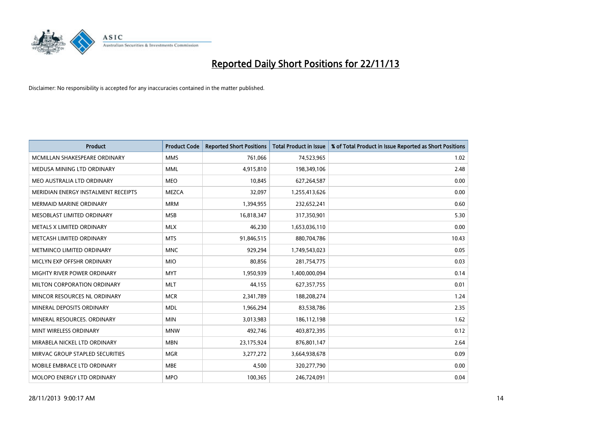

| <b>Product</b>                      | <b>Product Code</b> | <b>Reported Short Positions</b> | <b>Total Product in Issue</b> | % of Total Product in Issue Reported as Short Positions |
|-------------------------------------|---------------------|---------------------------------|-------------------------------|---------------------------------------------------------|
| MCMILLAN SHAKESPEARE ORDINARY       | <b>MMS</b>          | 761,066                         | 74,523,965                    | 1.02                                                    |
| MEDUSA MINING LTD ORDINARY          | <b>MML</b>          | 4,915,810                       | 198,349,106                   | 2.48                                                    |
| MEO AUSTRALIA LTD ORDINARY          | <b>MEO</b>          | 10,845                          | 627,264,587                   | 0.00                                                    |
| MERIDIAN ENERGY INSTALMENT RECEIPTS | <b>MEZCA</b>        | 32,097                          | 1,255,413,626                 | 0.00                                                    |
| <b>MERMAID MARINE ORDINARY</b>      | <b>MRM</b>          | 1,394,955                       | 232,652,241                   | 0.60                                                    |
| MESOBLAST LIMITED ORDINARY          | <b>MSB</b>          | 16,818,347                      | 317,350,901                   | 5.30                                                    |
| METALS X LIMITED ORDINARY           | <b>MLX</b>          | 46,230                          | 1,653,036,110                 | 0.00                                                    |
| METCASH LIMITED ORDINARY            | <b>MTS</b>          | 91,846,515                      | 880,704,786                   | 10.43                                                   |
| METMINCO LIMITED ORDINARY           | <b>MNC</b>          | 929,294                         | 1,749,543,023                 | 0.05                                                    |
| MICLYN EXP OFFSHR ORDINARY          | <b>MIO</b>          | 80,856                          | 281,754,775                   | 0.03                                                    |
| MIGHTY RIVER POWER ORDINARY         | <b>MYT</b>          | 1,950,939                       | 1,400,000,094                 | 0.14                                                    |
| MILTON CORPORATION ORDINARY         | <b>MLT</b>          | 44,155                          | 627,357,755                   | 0.01                                                    |
| MINCOR RESOURCES NL ORDINARY        | <b>MCR</b>          | 2,341,789                       | 188,208,274                   | 1.24                                                    |
| MINERAL DEPOSITS ORDINARY           | <b>MDL</b>          | 1,966,294                       | 83,538,786                    | 2.35                                                    |
| MINERAL RESOURCES, ORDINARY         | <b>MIN</b>          | 3,013,983                       | 186,112,198                   | 1.62                                                    |
| MINT WIRELESS ORDINARY              | <b>MNW</b>          | 492,746                         | 403,872,395                   | 0.12                                                    |
| MIRABELA NICKEL LTD ORDINARY        | <b>MBN</b>          | 23,175,924                      | 876,801,147                   | 2.64                                                    |
| MIRVAC GROUP STAPLED SECURITIES     | <b>MGR</b>          | 3,277,272                       | 3,664,938,678                 | 0.09                                                    |
| MOBILE EMBRACE LTD ORDINARY         | <b>MBE</b>          | 4,500                           | 320,277,790                   | 0.00                                                    |
| MOLOPO ENERGY LTD ORDINARY          | <b>MPO</b>          | 100,365                         | 246,724,091                   | 0.04                                                    |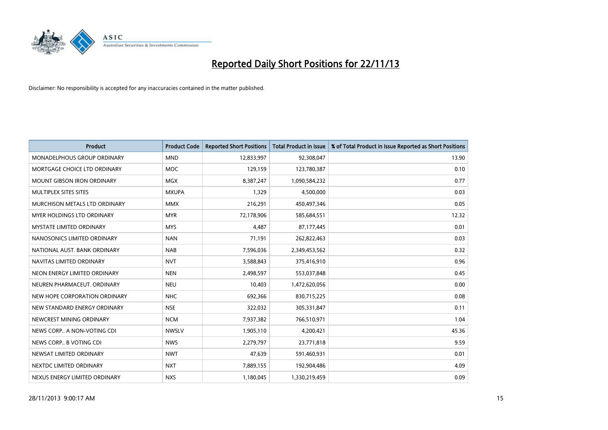

| Product                           | <b>Product Code</b> | <b>Reported Short Positions</b> | <b>Total Product in Issue</b> | % of Total Product in Issue Reported as Short Positions |
|-----------------------------------|---------------------|---------------------------------|-------------------------------|---------------------------------------------------------|
| MONADELPHOUS GROUP ORDINARY       | <b>MND</b>          | 12,833,997                      | 92,308,047                    | 13.90                                                   |
| MORTGAGE CHOICE LTD ORDINARY      | <b>MOC</b>          | 129,159                         | 123,780,387                   | 0.10                                                    |
| <b>MOUNT GIBSON IRON ORDINARY</b> | <b>MGX</b>          | 8,387,247                       | 1,090,584,232                 | 0.77                                                    |
| MULTIPLEX SITES SITES             | <b>MXUPA</b>        | 1,329                           | 4,500,000                     | 0.03                                                    |
| MURCHISON METALS LTD ORDINARY     | <b>MMX</b>          | 216,291                         | 450,497,346                   | 0.05                                                    |
| MYER HOLDINGS LTD ORDINARY        | <b>MYR</b>          | 72,178,906                      | 585,684,551                   | 12.32                                                   |
| <b>MYSTATE LIMITED ORDINARY</b>   | <b>MYS</b>          | 4,487                           | 87,177,445                    | 0.01                                                    |
| NANOSONICS LIMITED ORDINARY       | <b>NAN</b>          | 71,191                          | 262,822,463                   | 0.03                                                    |
| NATIONAL AUST, BANK ORDINARY      | <b>NAB</b>          | 7,596,036                       | 2,349,453,562                 | 0.32                                                    |
| NAVITAS LIMITED ORDINARY          | <b>NVT</b>          | 3,588,843                       | 375,416,910                   | 0.96                                                    |
| NEON ENERGY LIMITED ORDINARY      | <b>NEN</b>          | 2,498,597                       | 553,037,848                   | 0.45                                                    |
| NEUREN PHARMACEUT, ORDINARY       | <b>NEU</b>          | 10,403                          | 1,472,620,056                 | 0.00                                                    |
| NEW HOPE CORPORATION ORDINARY     | <b>NHC</b>          | 692,366                         | 830,715,225                   | 0.08                                                    |
| NEW STANDARD ENERGY ORDINARY      | <b>NSE</b>          | 322,032                         | 305,331,847                   | 0.11                                                    |
| NEWCREST MINING ORDINARY          | <b>NCM</b>          | 7,937,382                       | 766,510,971                   | 1.04                                                    |
| NEWS CORP A NON-VOTING CDI        | <b>NWSLV</b>        | 1,905,110                       | 4,200,421                     | 45.36                                                   |
| NEWS CORP B VOTING CDI            | <b>NWS</b>          | 2,279,797                       | 23,771,818                    | 9.59                                                    |
| NEWSAT LIMITED ORDINARY           | <b>NWT</b>          | 47,639                          | 591,460,931                   | 0.01                                                    |
| NEXTDC LIMITED ORDINARY           | <b>NXT</b>          | 7,889,155                       | 192,904,486                   | 4.09                                                    |
| NEXUS ENERGY LIMITED ORDINARY     | <b>NXS</b>          | 1,180,045                       | 1,330,219,459                 | 0.09                                                    |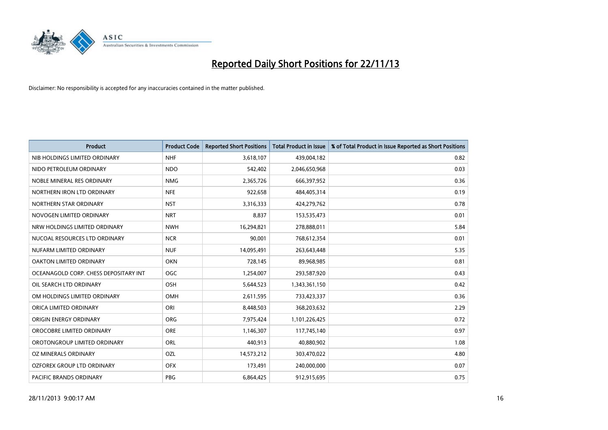

| <b>Product</b>                        | <b>Product Code</b> | <b>Reported Short Positions</b> | <b>Total Product in Issue</b> | % of Total Product in Issue Reported as Short Positions |
|---------------------------------------|---------------------|---------------------------------|-------------------------------|---------------------------------------------------------|
| NIB HOLDINGS LIMITED ORDINARY         | <b>NHF</b>          | 3,618,107                       | 439,004,182                   | 0.82                                                    |
| NIDO PETROLEUM ORDINARY               | <b>NDO</b>          | 542,402                         | 2,046,650,968                 | 0.03                                                    |
| NOBLE MINERAL RES ORDINARY            | <b>NMG</b>          | 2,365,726                       | 666,397,952                   | 0.36                                                    |
| NORTHERN IRON LTD ORDINARY            | <b>NFE</b>          | 922,658                         | 484,405,314                   | 0.19                                                    |
| NORTHERN STAR ORDINARY                | <b>NST</b>          | 3,316,333                       | 424,279,762                   | 0.78                                                    |
| NOVOGEN LIMITED ORDINARY              | <b>NRT</b>          | 8,837                           | 153,535,473                   | 0.01                                                    |
| NRW HOLDINGS LIMITED ORDINARY         | <b>NWH</b>          | 16,294,821                      | 278,888,011                   | 5.84                                                    |
| NUCOAL RESOURCES LTD ORDINARY         | <b>NCR</b>          | 90,001                          | 768,612,354                   | 0.01                                                    |
| NUFARM LIMITED ORDINARY               | <b>NUF</b>          | 14,095,491                      | 263,643,448                   | 5.35                                                    |
| OAKTON LIMITED ORDINARY               | <b>OKN</b>          | 728,145                         | 89,968,985                    | 0.81                                                    |
| OCEANAGOLD CORP. CHESS DEPOSITARY INT | <b>OGC</b>          | 1,254,007                       | 293,587,920                   | 0.43                                                    |
| OIL SEARCH LTD ORDINARY               | <b>OSH</b>          | 5,644,523                       | 1,343,361,150                 | 0.42                                                    |
| OM HOLDINGS LIMITED ORDINARY          | <b>OMH</b>          | 2,611,595                       | 733,423,337                   | 0.36                                                    |
| ORICA LIMITED ORDINARY                | ORI                 | 8,448,503                       | 368,203,632                   | 2.29                                                    |
| ORIGIN ENERGY ORDINARY                | <b>ORG</b>          | 7,975,424                       | 1,101,226,425                 | 0.72                                                    |
| OROCOBRE LIMITED ORDINARY             | <b>ORE</b>          | 1,146,307                       | 117,745,140                   | 0.97                                                    |
| OROTONGROUP LIMITED ORDINARY          | ORL                 | 440,913                         | 40,880,902                    | 1.08                                                    |
| <b>OZ MINERALS ORDINARY</b>           | OZL                 | 14,573,212                      | 303,470,022                   | 4.80                                                    |
| OZFOREX GROUP LTD ORDINARY            | <b>OFX</b>          | 173,491                         | 240,000,000                   | 0.07                                                    |
| <b>PACIFIC BRANDS ORDINARY</b>        | <b>PBG</b>          | 6,864,425                       | 912,915,695                   | 0.75                                                    |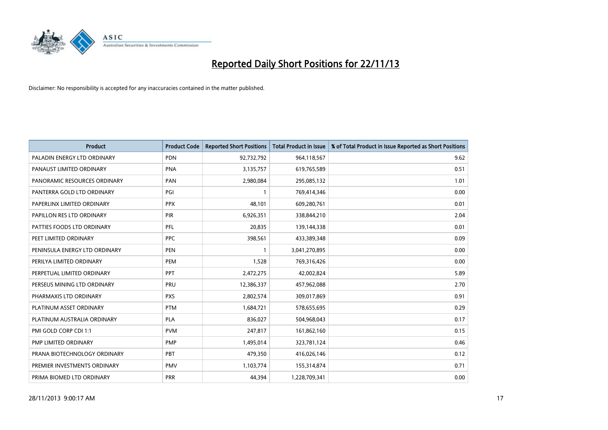

| Product                       | <b>Product Code</b> | <b>Reported Short Positions</b> | <b>Total Product in Issue</b> | % of Total Product in Issue Reported as Short Positions |
|-------------------------------|---------------------|---------------------------------|-------------------------------|---------------------------------------------------------|
| PALADIN ENERGY LTD ORDINARY   | <b>PDN</b>          | 92,732,792                      | 964,118,567                   | 9.62                                                    |
| PANAUST LIMITED ORDINARY      | <b>PNA</b>          | 3,135,757                       | 619,765,589                   | 0.51                                                    |
| PANORAMIC RESOURCES ORDINARY  | PAN                 | 2,980,084                       | 295,085,132                   | 1.01                                                    |
| PANTERRA GOLD LTD ORDINARY    | PGI                 | $\mathbf{1}$                    | 769,414,346                   | 0.00                                                    |
| PAPERLINX LIMITED ORDINARY    | <b>PPX</b>          | 48,101                          | 609,280,761                   | 0.01                                                    |
| PAPILLON RES LTD ORDINARY     | PIR                 | 6,926,351                       | 338,844,210                   | 2.04                                                    |
| PATTIES FOODS LTD ORDINARY    | <b>PFL</b>          | 20,835                          | 139,144,338                   | 0.01                                                    |
| PEET LIMITED ORDINARY         | <b>PPC</b>          | 398,561                         | 433,389,348                   | 0.09                                                    |
| PENINSULA ENERGY LTD ORDINARY | <b>PEN</b>          | 1                               | 3,041,270,895                 | 0.00                                                    |
| PERILYA LIMITED ORDINARY      | PEM                 | 1,528                           | 769,316,426                   | 0.00                                                    |
| PERPETUAL LIMITED ORDINARY    | <b>PPT</b>          | 2,472,275                       | 42,002,824                    | 5.89                                                    |
| PERSEUS MINING LTD ORDINARY   | <b>PRU</b>          | 12,386,337                      | 457,962,088                   | 2.70                                                    |
| PHARMAXIS LTD ORDINARY        | <b>PXS</b>          | 2,802,574                       | 309,017,869                   | 0.91                                                    |
| PLATINUM ASSET ORDINARY       | <b>PTM</b>          | 1,684,721                       | 578,655,695                   | 0.29                                                    |
| PLATINUM AUSTRALIA ORDINARY   | PLA                 | 836,027                         | 504,968,043                   | 0.17                                                    |
| PMI GOLD CORP CDI 1:1         | <b>PVM</b>          | 247,817                         | 161,862,160                   | 0.15                                                    |
| PMP LIMITED ORDINARY          | <b>PMP</b>          | 1,495,014                       | 323,781,124                   | 0.46                                                    |
| PRANA BIOTECHNOLOGY ORDINARY  | PBT                 | 479,350                         | 416,026,146                   | 0.12                                                    |
| PREMIER INVESTMENTS ORDINARY  | <b>PMV</b>          | 1,103,774                       | 155,314,874                   | 0.71                                                    |
| PRIMA BIOMED LTD ORDINARY     | <b>PRR</b>          | 44,394                          | 1,228,709,341                 | 0.00                                                    |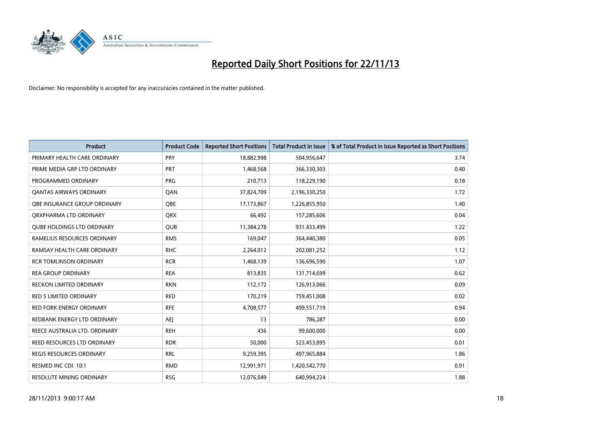

| <b>Product</b>                      | <b>Product Code</b> | <b>Reported Short Positions</b> | <b>Total Product in Issue</b> | % of Total Product in Issue Reported as Short Positions |
|-------------------------------------|---------------------|---------------------------------|-------------------------------|---------------------------------------------------------|
| PRIMARY HEALTH CARE ORDINARY        | <b>PRY</b>          | 18,882,998                      | 504,956,647                   | 3.74                                                    |
| PRIME MEDIA GRP LTD ORDINARY        | <b>PRT</b>          | 1,468,568                       | 366,330,303                   | 0.40                                                    |
| PROGRAMMED ORDINARY                 | <b>PRG</b>          | 210,713                         | 118,229,190                   | 0.18                                                    |
| <b>QANTAS AIRWAYS ORDINARY</b>      | QAN                 | 37,824,709                      | 2,196,330,250                 | 1.72                                                    |
| <b>OBE INSURANCE GROUP ORDINARY</b> | <b>OBE</b>          | 17,173,867                      | 1,226,855,950                 | 1.40                                                    |
| ORXPHARMA LTD ORDINARY              | <b>QRX</b>          | 66,492                          | 157,285,606                   | 0.04                                                    |
| <b>QUBE HOLDINGS LTD ORDINARY</b>   | <b>QUB</b>          | 11,384,278                      | 931,433,499                   | 1.22                                                    |
| RAMELIUS RESOURCES ORDINARY         | <b>RMS</b>          | 169,047                         | 364,440,380                   | 0.05                                                    |
| RAMSAY HEALTH CARE ORDINARY         | <b>RHC</b>          | 2,264,012                       | 202,081,252                   | 1.12                                                    |
| <b>RCR TOMLINSON ORDINARY</b>       | <b>RCR</b>          | 1,468,139                       | 136,696,590                   | 1.07                                                    |
| <b>REA GROUP ORDINARY</b>           | <b>REA</b>          | 813,835                         | 131,714,699                   | 0.62                                                    |
| <b>RECKON LIMITED ORDINARY</b>      | <b>RKN</b>          | 112,172                         | 126,913,066                   | 0.09                                                    |
| <b>RED 5 LIMITED ORDINARY</b>       | <b>RED</b>          | 170,219                         | 759,451,008                   | 0.02                                                    |
| <b>RED FORK ENERGY ORDINARY</b>     | <b>RFE</b>          | 4,708,577                       | 499,551,719                   | 0.94                                                    |
| REDBANK ENERGY LTD ORDINARY         | <b>AEJ</b>          | 13                              | 786,287                       | 0.00                                                    |
| REECE AUSTRALIA LTD. ORDINARY       | <b>REH</b>          | 436                             | 99,600,000                    | 0.00                                                    |
| REED RESOURCES LTD ORDINARY         | <b>RDR</b>          | 50,000                          | 523,453,895                   | 0.01                                                    |
| <b>REGIS RESOURCES ORDINARY</b>     | <b>RRL</b>          | 9,259,395                       | 497,965,884                   | 1.86                                                    |
| RESMED INC CDI 10:1                 | <b>RMD</b>          | 12,991,971                      | 1,420,542,770                 | 0.91                                                    |
| <b>RESOLUTE MINING ORDINARY</b>     | <b>RSG</b>          | 12,076,049                      | 640,994,224                   | 1.88                                                    |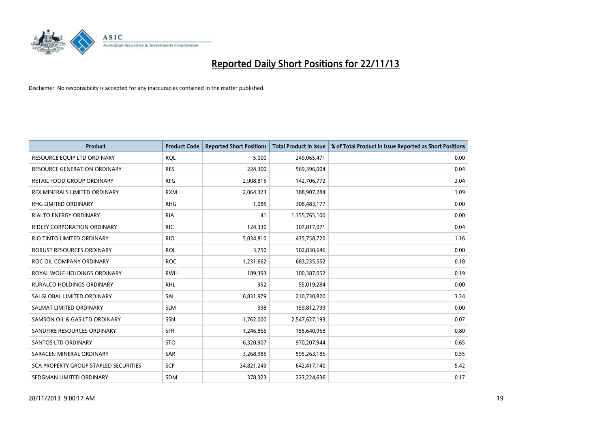

| <b>Product</b>                        | <b>Product Code</b> | <b>Reported Short Positions</b> | <b>Total Product in Issue</b> | % of Total Product in Issue Reported as Short Positions |
|---------------------------------------|---------------------|---------------------------------|-------------------------------|---------------------------------------------------------|
| RESOURCE EQUIP LTD ORDINARY           | <b>ROL</b>          | 5.000                           | 249,065,471                   | 0.00                                                    |
| <b>RESOURCE GENERATION ORDINARY</b>   | <b>RES</b>          | 224,300                         | 569,396,004                   | 0.04                                                    |
| <b>RETAIL FOOD GROUP ORDINARY</b>     | <b>RFG</b>          | 2,908,815                       | 142,706,772                   | 2.04                                                    |
| REX MINERALS LIMITED ORDINARY         | <b>RXM</b>          | 2,064,323                       | 188,907,284                   | 1.09                                                    |
| <b>RHG LIMITED ORDINARY</b>           | <b>RHG</b>          | 1,085                           | 308,483,177                   | 0.00                                                    |
| <b>RIALTO ENERGY ORDINARY</b>         | <b>RIA</b>          | 41                              | 1,155,765,100                 | 0.00                                                    |
| RIDLEY CORPORATION ORDINARY           | <b>RIC</b>          | 124,330                         | 307,817,071                   | 0.04                                                    |
| RIO TINTO LIMITED ORDINARY            | <b>RIO</b>          | 5,034,810                       | 435,758,720                   | 1.16                                                    |
| ROBUST RESOURCES ORDINARY             | <b>ROL</b>          | 3,750                           | 102,830,646                   | 0.00                                                    |
| ROC OIL COMPANY ORDINARY              | <b>ROC</b>          | 1,231,662                       | 683,235,552                   | 0.18                                                    |
| ROYAL WOLF HOLDINGS ORDINARY          | <b>RWH</b>          | 189,393                         | 100,387,052                   | 0.19                                                    |
| RURALCO HOLDINGS ORDINARY             | <b>RHL</b>          | 952                             | 55,019,284                    | 0.00                                                    |
| SAI GLOBAL LIMITED ORDINARY           | SAI                 | 6,831,979                       | 210,730,820                   | 3.24                                                    |
| SALMAT LIMITED ORDINARY               | <b>SLM</b>          | 998                             | 159,812,799                   | 0.00                                                    |
| SAMSON OIL & GAS LTD ORDINARY         | <b>SSN</b>          | 1,762,000                       | 2,547,627,193                 | 0.07                                                    |
| SANDFIRE RESOURCES ORDINARY           | <b>SFR</b>          | 1,246,866                       | 155,640,968                   | 0.80                                                    |
| SANTOS LTD ORDINARY                   | <b>STO</b>          | 6,320,907                       | 970,207,944                   | 0.65                                                    |
| SARACEN MINERAL ORDINARY              | <b>SAR</b>          | 3,268,985                       | 595,263,186                   | 0.55                                                    |
| SCA PROPERTY GROUP STAPLED SECURITIES | <b>SCP</b>          | 34,821,249                      | 642,417,140                   | 5.42                                                    |
| SEDGMAN LIMITED ORDINARY              | SDM                 | 378,323                         | 223,224,636                   | 0.17                                                    |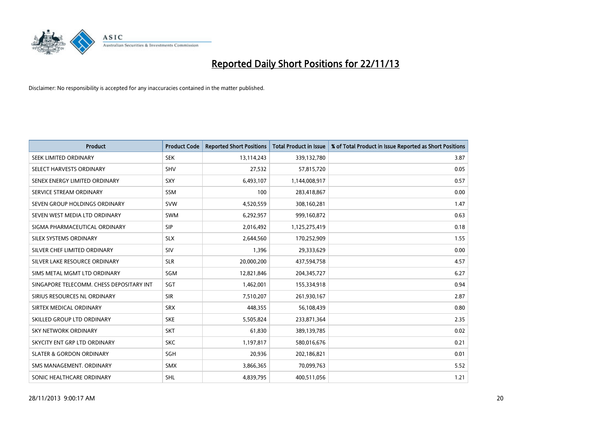

| <b>Product</b>                           | <b>Product Code</b> | <b>Reported Short Positions</b> | <b>Total Product in Issue</b> | % of Total Product in Issue Reported as Short Positions |
|------------------------------------------|---------------------|---------------------------------|-------------------------------|---------------------------------------------------------|
| SEEK LIMITED ORDINARY                    | <b>SEK</b>          | 13,114,243                      | 339,132,780                   | 3.87                                                    |
| SELECT HARVESTS ORDINARY                 | <b>SHV</b>          | 27,532                          | 57,815,720                    | 0.05                                                    |
| SENEX ENERGY LIMITED ORDINARY            | SXY                 | 6,493,107                       | 1,144,008,917                 | 0.57                                                    |
| SERVICE STREAM ORDINARY                  | SSM                 | 100                             | 283,418,867                   | 0.00                                                    |
| SEVEN GROUP HOLDINGS ORDINARY            | <b>SVW</b>          | 4,520,559                       | 308,160,281                   | 1.47                                                    |
| SEVEN WEST MEDIA LTD ORDINARY            | <b>SWM</b>          | 6,292,957                       | 999,160,872                   | 0.63                                                    |
| SIGMA PHARMACEUTICAL ORDINARY            | <b>SIP</b>          | 2,016,492                       | 1,125,275,419                 | 0.18                                                    |
| SILEX SYSTEMS ORDINARY                   | <b>SLX</b>          | 2,644,560                       | 170,252,909                   | 1.55                                                    |
| SILVER CHEF LIMITED ORDINARY             | SIV                 | 1,396                           | 29,333,629                    | 0.00                                                    |
| SILVER LAKE RESOURCE ORDINARY            | <b>SLR</b>          | 20,000,200                      | 437,594,758                   | 4.57                                                    |
| SIMS METAL MGMT LTD ORDINARY             | SGM                 | 12,821,846                      | 204, 345, 727                 | 6.27                                                    |
| SINGAPORE TELECOMM. CHESS DEPOSITARY INT | SGT                 | 1,462,001                       | 155,334,918                   | 0.94                                                    |
| SIRIUS RESOURCES NL ORDINARY             | <b>SIR</b>          | 7,510,207                       | 261,930,167                   | 2.87                                                    |
| SIRTEX MEDICAL ORDINARY                  | <b>SRX</b>          | 448,355                         | 56,108,439                    | 0.80                                                    |
| SKILLED GROUP LTD ORDINARY               | <b>SKE</b>          | 5,505,824                       | 233,871,364                   | 2.35                                                    |
| <b>SKY NETWORK ORDINARY</b>              | <b>SKT</b>          | 61,830                          | 389,139,785                   | 0.02                                                    |
| SKYCITY ENT GRP LTD ORDINARY             | <b>SKC</b>          | 1,197,817                       | 580,016,676                   | 0.21                                                    |
| <b>SLATER &amp; GORDON ORDINARY</b>      | SGH                 | 20,936                          | 202,186,821                   | 0.01                                                    |
| SMS MANAGEMENT, ORDINARY                 | <b>SMX</b>          | 3,866,365                       | 70,099,763                    | 5.52                                                    |
| SONIC HEALTHCARE ORDINARY                | <b>SHL</b>          | 4,839,795                       | 400,511,056                   | 1.21                                                    |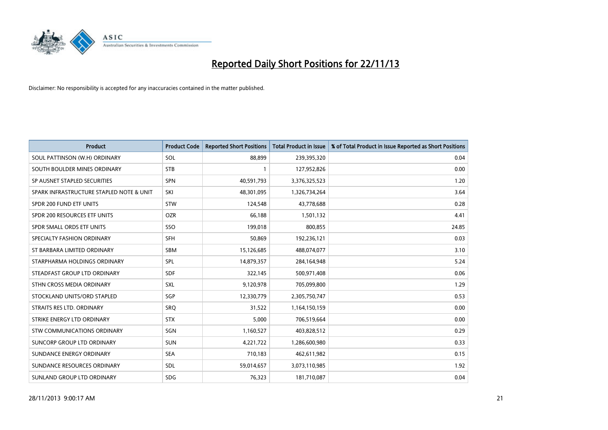

| <b>Product</b>                           | <b>Product Code</b> | <b>Reported Short Positions</b> | <b>Total Product in Issue</b> | % of Total Product in Issue Reported as Short Positions |
|------------------------------------------|---------------------|---------------------------------|-------------------------------|---------------------------------------------------------|
| SOUL PATTINSON (W.H) ORDINARY            | SOL                 | 88,899                          | 239,395,320                   | 0.04                                                    |
| SOUTH BOULDER MINES ORDINARY             | <b>STB</b>          | 1                               | 127,952,826                   | 0.00                                                    |
| SP AUSNET STAPLED SECURITIES             | SPN                 | 40,591,793                      | 3,376,325,523                 | 1.20                                                    |
| SPARK INFRASTRUCTURE STAPLED NOTE & UNIT | SKI                 | 48,301,095                      | 1,326,734,264                 | 3.64                                                    |
| SPDR 200 FUND ETF UNITS                  | <b>STW</b>          | 124,548                         | 43,778,688                    | 0.28                                                    |
| SPDR 200 RESOURCES ETF UNITS             | <b>OZR</b>          | 66,188                          | 1,501,132                     | 4.41                                                    |
| SPDR SMALL ORDS ETF UNITS                | SSO                 | 199,018                         | 800,855                       | 24.85                                                   |
| SPECIALTY FASHION ORDINARY               | <b>SFH</b>          | 50,869                          | 192,236,121                   | 0.03                                                    |
| ST BARBARA LIMITED ORDINARY              | SBM                 | 15,126,685                      | 488,074,077                   | 3.10                                                    |
| STARPHARMA HOLDINGS ORDINARY             | SPL                 | 14,879,357                      | 284,164,948                   | 5.24                                                    |
| STEADFAST GROUP LTD ORDINARY             | <b>SDF</b>          | 322,145                         | 500,971,408                   | 0.06                                                    |
| STHN CROSS MEDIA ORDINARY                | <b>SXL</b>          | 9,120,978                       | 705,099,800                   | 1.29                                                    |
| STOCKLAND UNITS/ORD STAPLED              | <b>SGP</b>          | 12,330,779                      | 2,305,750,747                 | 0.53                                                    |
| STRAITS RES LTD. ORDINARY                | SRQ                 | 31,522                          | 1,164,150,159                 | 0.00                                                    |
| STRIKE ENERGY LTD ORDINARY               | <b>STX</b>          | 5,000                           | 706,519,664                   | 0.00                                                    |
| STW COMMUNICATIONS ORDINARY              | SGN                 | 1,160,527                       | 403,828,512                   | 0.29                                                    |
| SUNCORP GROUP LTD ORDINARY               | <b>SUN</b>          | 4,221,722                       | 1,286,600,980                 | 0.33                                                    |
| SUNDANCE ENERGY ORDINARY                 | <b>SEA</b>          | 710,183                         | 462,611,982                   | 0.15                                                    |
| SUNDANCE RESOURCES ORDINARY              | SDL                 | 59,014,657                      | 3,073,110,985                 | 1.92                                                    |
| SUNLAND GROUP LTD ORDINARY               | <b>SDG</b>          | 76,323                          | 181,710,087                   | 0.04                                                    |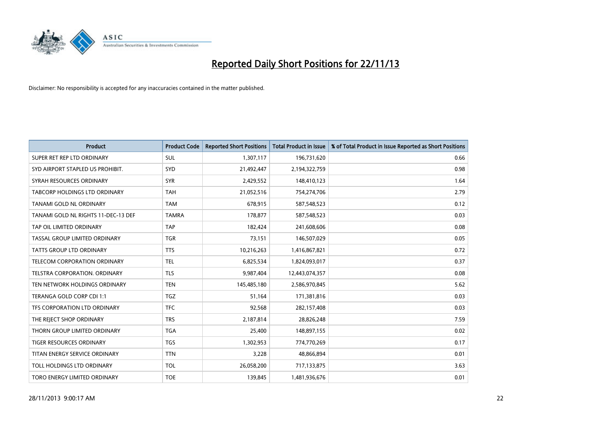

| <b>Product</b>                      | <b>Product Code</b> | <b>Reported Short Positions</b> | <b>Total Product in Issue</b> | % of Total Product in Issue Reported as Short Positions |
|-------------------------------------|---------------------|---------------------------------|-------------------------------|---------------------------------------------------------|
| SUPER RET REP LTD ORDINARY          | <b>SUL</b>          | 1,307,117                       | 196,731,620                   | 0.66                                                    |
| SYD AIRPORT STAPLED US PROHIBIT.    | <b>SYD</b>          | 21,492,447                      | 2,194,322,759                 | 0.98                                                    |
| SYRAH RESOURCES ORDINARY            | <b>SYR</b>          | 2,429,552                       | 148,410,123                   | 1.64                                                    |
| TABCORP HOLDINGS LTD ORDINARY       | <b>TAH</b>          | 21,052,516                      | 754,274,706                   | 2.79                                                    |
| <b>TANAMI GOLD NL ORDINARY</b>      | <b>TAM</b>          | 678,915                         | 587,548,523                   | 0.12                                                    |
| TANAMI GOLD NL RIGHTS 11-DEC-13 DEF | <b>TAMRA</b>        | 178,877                         | 587,548,523                   | 0.03                                                    |
| TAP OIL LIMITED ORDINARY            | <b>TAP</b>          | 182,424                         | 241,608,606                   | 0.08                                                    |
| TASSAL GROUP LIMITED ORDINARY       | <b>TGR</b>          | 73,151                          | 146,507,029                   | 0.05                                                    |
| <b>TATTS GROUP LTD ORDINARY</b>     | <b>TTS</b>          | 10,216,263                      | 1,416,867,821                 | 0.72                                                    |
| TELECOM CORPORATION ORDINARY        | <b>TEL</b>          | 6,825,534                       | 1,824,093,017                 | 0.37                                                    |
| TELSTRA CORPORATION. ORDINARY       | <b>TLS</b>          | 9,987,404                       | 12,443,074,357                | 0.08                                                    |
| TEN NETWORK HOLDINGS ORDINARY       | <b>TEN</b>          | 145,485,180                     | 2,586,970,845                 | 5.62                                                    |
| TERANGA GOLD CORP CDI 1:1           | <b>TGZ</b>          | 51,164                          | 171,381,816                   | 0.03                                                    |
| TFS CORPORATION LTD ORDINARY        | <b>TFC</b>          | 92,568                          | 282,157,408                   | 0.03                                                    |
| THE REJECT SHOP ORDINARY            | <b>TRS</b>          | 2,187,814                       | 28,826,248                    | 7.59                                                    |
| THORN GROUP LIMITED ORDINARY        | <b>TGA</b>          | 25,400                          | 148,897,155                   | 0.02                                                    |
| TIGER RESOURCES ORDINARY            | TGS                 | 1,302,953                       | 774,770,269                   | 0.17                                                    |
| TITAN ENERGY SERVICE ORDINARY       | <b>TTN</b>          | 3,228                           | 48,866,894                    | 0.01                                                    |
| TOLL HOLDINGS LTD ORDINARY          | <b>TOL</b>          | 26,058,200                      | 717,133,875                   | 3.63                                                    |
| TORO ENERGY LIMITED ORDINARY        | <b>TOE</b>          | 139,845                         | 1,481,936,676                 | 0.01                                                    |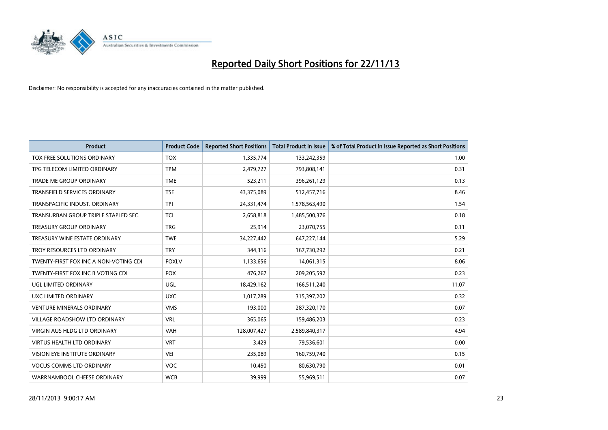

| <b>Product</b>                        | <b>Product Code</b> | <b>Reported Short Positions</b> | <b>Total Product in Issue</b> | % of Total Product in Issue Reported as Short Positions |
|---------------------------------------|---------------------|---------------------------------|-------------------------------|---------------------------------------------------------|
| TOX FREE SOLUTIONS ORDINARY           | <b>TOX</b>          | 1,335,774                       | 133,242,359                   | 1.00                                                    |
| TPG TELECOM LIMITED ORDINARY          | <b>TPM</b>          | 2,479,727                       | 793,808,141                   | 0.31                                                    |
| <b>TRADE ME GROUP ORDINARY</b>        | <b>TME</b>          | 523,211                         | 396,261,129                   | 0.13                                                    |
| TRANSFIELD SERVICES ORDINARY          | <b>TSE</b>          | 43,375,089                      | 512,457,716                   | 8.46                                                    |
| TRANSPACIFIC INDUST, ORDINARY         | <b>TPI</b>          | 24,331,474                      | 1,578,563,490                 | 1.54                                                    |
| TRANSURBAN GROUP TRIPLE STAPLED SEC.  | <b>TCL</b>          | 2,658,818                       | 1,485,500,376                 | 0.18                                                    |
| <b>TREASURY GROUP ORDINARY</b>        | <b>TRG</b>          | 25,914                          | 23,070,755                    | 0.11                                                    |
| TREASURY WINE ESTATE ORDINARY         | <b>TWE</b>          | 34,227,442                      | 647,227,144                   | 5.29                                                    |
| TROY RESOURCES LTD ORDINARY           | <b>TRY</b>          | 344,316                         | 167,730,292                   | 0.21                                                    |
| TWENTY-FIRST FOX INC A NON-VOTING CDI | <b>FOXLV</b>        | 1,133,656                       | 14,061,315                    | 8.06                                                    |
| TWENTY-FIRST FOX INC B VOTING CDI     | <b>FOX</b>          | 476,267                         | 209,205,592                   | 0.23                                                    |
| UGL LIMITED ORDINARY                  | UGL                 | 18,429,162                      | 166,511,240                   | 11.07                                                   |
| UXC LIMITED ORDINARY                  | <b>UXC</b>          | 1,017,289                       | 315,397,202                   | 0.32                                                    |
| <b>VENTURE MINERALS ORDINARY</b>      | <b>VMS</b>          | 193,000                         | 287,320,170                   | 0.07                                                    |
| VILLAGE ROADSHOW LTD ORDINARY         | <b>VRL</b>          | 365,065                         | 159,486,203                   | 0.23                                                    |
| VIRGIN AUS HLDG LTD ORDINARY          | <b>VAH</b>          | 128,007,427                     | 2,589,840,317                 | 4.94                                                    |
| VIRTUS HEALTH LTD ORDINARY            | <b>VRT</b>          | 3,429                           | 79,536,601                    | 0.00                                                    |
| VISION EYE INSTITUTE ORDINARY         | <b>VEI</b>          | 235,089                         | 160,759,740                   | 0.15                                                    |
| <b>VOCUS COMMS LTD ORDINARY</b>       | <b>VOC</b>          | 10,450                          | 80,630,790                    | 0.01                                                    |
| WARRNAMBOOL CHEESE ORDINARY           | <b>WCB</b>          | 39,999                          | 55,969,511                    | 0.07                                                    |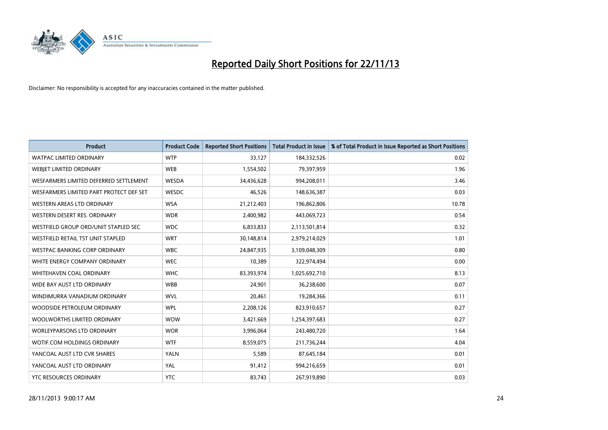

| <b>Product</b>                          | <b>Product Code</b> | <b>Reported Short Positions</b> | <b>Total Product in Issue</b> | % of Total Product in Issue Reported as Short Positions |
|-----------------------------------------|---------------------|---------------------------------|-------------------------------|---------------------------------------------------------|
| <b>WATPAC LIMITED ORDINARY</b>          | <b>WTP</b>          | 33,127                          | 184,332,526                   | 0.02                                                    |
| WEBJET LIMITED ORDINARY                 | <b>WEB</b>          | 1,554,502                       | 79,397,959                    | 1.96                                                    |
| WESFARMERS LIMITED DEFERRED SETTLEMENT  | WESDA               | 34,436,628                      | 994,208,011                   | 3.46                                                    |
| WESFARMERS LIMITED PART PROTECT DEF SET | WESDC               | 46,526                          | 148,636,387                   | 0.03                                                    |
| WESTERN AREAS LTD ORDINARY              | <b>WSA</b>          | 21,212,403                      | 196,862,806                   | 10.78                                                   |
| WESTERN DESERT RES. ORDINARY            | <b>WDR</b>          | 2,400,982                       | 443,069,723                   | 0.54                                                    |
| WESTFIELD GROUP ORD/UNIT STAPLED SEC    | <b>WDC</b>          | 6,833,833                       | 2,113,501,814                 | 0.32                                                    |
| WESTFIELD RETAIL TST UNIT STAPLED       | <b>WRT</b>          | 30,148,814                      | 2,979,214,029                 | 1.01                                                    |
| <b>WESTPAC BANKING CORP ORDINARY</b>    | <b>WBC</b>          | 24,847,935                      | 3,109,048,309                 | 0.80                                                    |
| WHITE ENERGY COMPANY ORDINARY           | <b>WEC</b>          | 10,389                          | 322,974,494                   | 0.00                                                    |
| WHITEHAVEN COAL ORDINARY                | <b>WHC</b>          | 83,393,974                      | 1,025,692,710                 | 8.13                                                    |
| WIDE BAY AUST LTD ORDINARY              | <b>WBB</b>          | 24,901                          | 36,238,600                    | 0.07                                                    |
| WINDIMURRA VANADIUM ORDINARY            | <b>WVL</b>          | 20,461                          | 19,284,366                    | 0.11                                                    |
| WOODSIDE PETROLEUM ORDINARY             | <b>WPL</b>          | 2,208,126                       | 823,910,657                   | 0.27                                                    |
| WOOLWORTHS LIMITED ORDINARY             | <b>WOW</b>          | 3,421,669                       | 1,254,397,683                 | 0.27                                                    |
| <b>WORLEYPARSONS LTD ORDINARY</b>       | <b>WOR</b>          | 3,996,064                       | 243,480,720                   | 1.64                                                    |
| WOTIF.COM HOLDINGS ORDINARY             | <b>WTF</b>          | 8,559,075                       | 211,736,244                   | 4.04                                                    |
| YANCOAL AUST LTD CVR SHARES             | YALN                | 5,589                           | 87,645,184                    | 0.01                                                    |
| YANCOAL AUST LTD ORDINARY               | YAL                 | 91,412                          | 994,216,659                   | 0.01                                                    |
| <b>YTC RESOURCES ORDINARY</b>           | <b>YTC</b>          | 83,743                          | 267,919,890                   | 0.03                                                    |